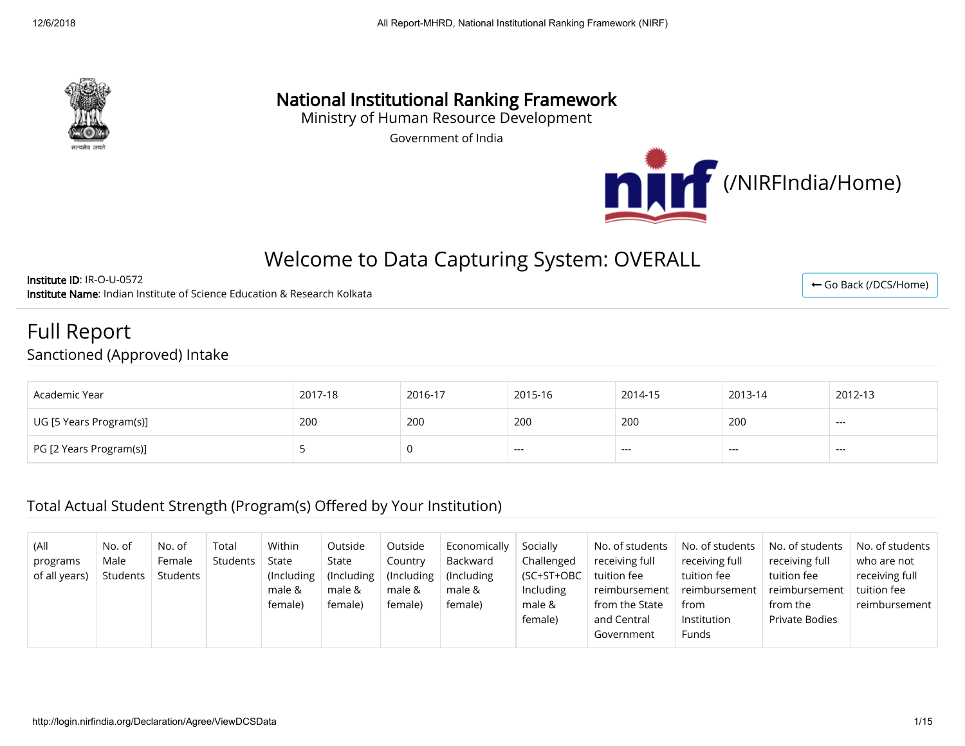

# National Institutional Ranking Framework

Ministry of Human Resource Development

Government of India



← [Go Back \(/DCS/Home\)](http://login.nirfindia.org/DCS/Home)

## Welcome to Data Capturing System: OVERALL

Institute ID: IR-O-U-0572 Institute Name: Indian Institute of Science Education & Research Kolkata

Full Report Sanctioned (Approved) Intake

| Academic Year           | 2017-18 | 2016-17 | 2015-16 | 2014-15 | 2013-14 | 2012-13 |
|-------------------------|---------|---------|---------|---------|---------|---------|
| UG [5 Years Program(s)] | 200     | 200     | 200     | 200     | 200     | ---     |
| PG [2 Years Program(s)] |         |         | $- - -$ | $- - -$ | ---     | $- - -$ |

### Total Actual Student Strength (Program(s) Offered by Your Institution)

| (All<br>programs<br>of all years) | No. of<br>No. of<br>Male<br>Female<br>Students<br>Students | Total<br>Students | Within<br>State<br>(Including)<br>male &<br>female) | Outside<br>State<br>(Including)<br>male &<br>female) | Outside<br>Country<br>$($ Including<br>male &<br>female) | Economically<br>Backward<br>(Including)<br>male &<br>female) | Socially<br>Challenged<br>(SC+ST+OBC<br>Including<br>male &<br>female) | No. of students<br>receiving full<br>tuition fee<br>reimbursement<br>from the State<br>and Central<br>Government | No. of students<br>receiving full<br>tuition fee<br>reimbursement<br>from<br>Institution<br>Funds | No. of students<br>receiving full<br>tuition fee<br>reimbursement<br>from the<br><b>Private Bodies</b> | No. of students<br>who are not<br>receiving full<br>tuition fee<br>reimbursement |
|-----------------------------------|------------------------------------------------------------|-------------------|-----------------------------------------------------|------------------------------------------------------|----------------------------------------------------------|--------------------------------------------------------------|------------------------------------------------------------------------|------------------------------------------------------------------------------------------------------------------|---------------------------------------------------------------------------------------------------|--------------------------------------------------------------------------------------------------------|----------------------------------------------------------------------------------|
|-----------------------------------|------------------------------------------------------------|-------------------|-----------------------------------------------------|------------------------------------------------------|----------------------------------------------------------|--------------------------------------------------------------|------------------------------------------------------------------------|------------------------------------------------------------------------------------------------------------------|---------------------------------------------------------------------------------------------------|--------------------------------------------------------------------------------------------------------|----------------------------------------------------------------------------------|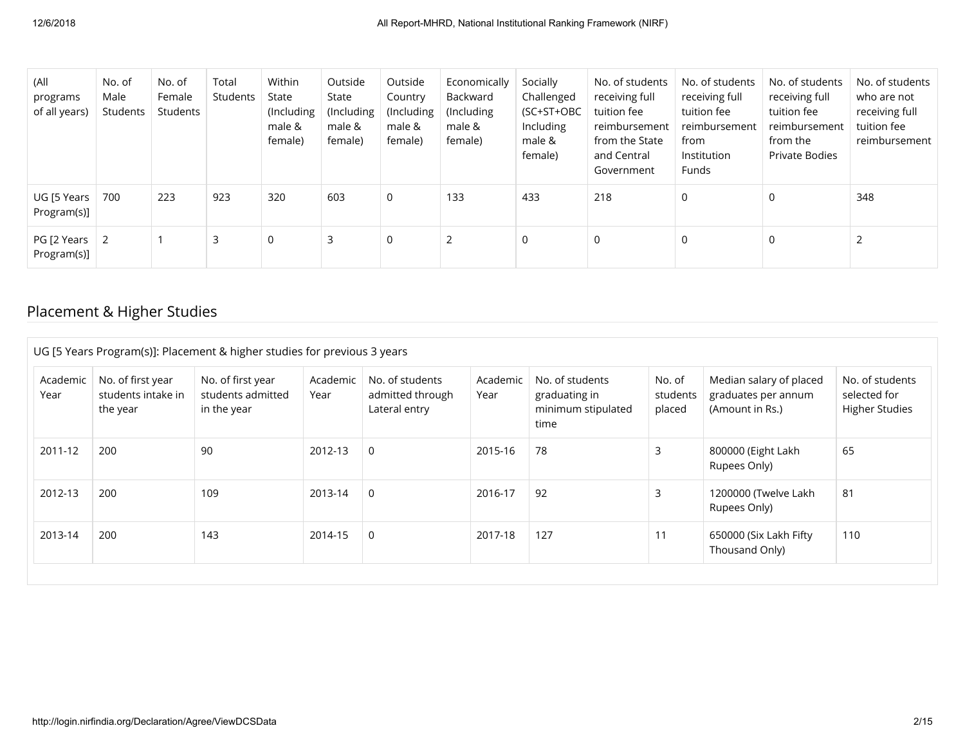| (All<br>programs<br>of all years) | No. of<br>Male<br>Students | No. of<br>Female<br>Students | Total<br>Students | Within<br>State<br>(Including<br>male &<br>female) | Outside<br>State<br>(Including<br>male &<br>female) | Outside<br>Country<br>(Including<br>male &<br>female) | Economically<br>Backward<br>(Including)<br>male &<br>female) | Socially<br>Challenged<br>(SC+ST+OBC<br>Including<br>male &<br>female) | No. of students<br>receiving full<br>tuition fee<br>reimbursement<br>from the State<br>and Central<br>Government | No. of students<br>receiving full<br>tuition fee<br>reimbursement<br>from<br>Institution<br>Funds | No. of students<br>receiving full<br>tuition fee<br>reimbursement<br>from the<br>Private Bodies | No. of students<br>who are not<br>receiving full<br>tuition fee<br>reimbursement |
|-----------------------------------|----------------------------|------------------------------|-------------------|----------------------------------------------------|-----------------------------------------------------|-------------------------------------------------------|--------------------------------------------------------------|------------------------------------------------------------------------|------------------------------------------------------------------------------------------------------------------|---------------------------------------------------------------------------------------------------|-------------------------------------------------------------------------------------------------|----------------------------------------------------------------------------------|
| UG [5 Years<br>Program(s)]        | 700                        | 223                          | 923               | 320                                                | 603                                                 | 0                                                     | 133                                                          | 433                                                                    | 218                                                                                                              | 0                                                                                                 | 0                                                                                               | 348                                                                              |
| PG [2 Years<br>Program(s)]        | 2                          |                              | 3                 | $\Omega$                                           | 3                                                   | 0                                                     | 2                                                            | 0                                                                      | 0                                                                                                                | 0                                                                                                 | 0                                                                                               |                                                                                  |

## Placement & Higher Studies

| UG [5 Years Program(s)]: Placement & higher studies for previous 3 years |                                                     |                                                       |                  |                                                      |                  |                                                                |                              |                                                                   |                                                          |
|--------------------------------------------------------------------------|-----------------------------------------------------|-------------------------------------------------------|------------------|------------------------------------------------------|------------------|----------------------------------------------------------------|------------------------------|-------------------------------------------------------------------|----------------------------------------------------------|
| Academic<br>Year                                                         | No. of first year<br>students intake in<br>the year | No. of first year<br>students admitted<br>in the year | Academic<br>Year | No. of students<br>admitted through<br>Lateral entry | Academic<br>Year | No. of students<br>graduating in<br>minimum stipulated<br>time | No. of<br>students<br>placed | Median salary of placed<br>graduates per annum<br>(Amount in Rs.) | No. of students<br>selected for<br><b>Higher Studies</b> |
| 2011-12                                                                  | 200                                                 | 90                                                    | 2012-13          | 0                                                    | 2015-16          | 78                                                             | 3                            | 800000 (Eight Lakh<br>Rupees Only)                                | 65                                                       |
| 2012-13                                                                  | 200                                                 | 109                                                   | 2013-14          | $\Omega$                                             | 2016-17          | 92                                                             | 3                            | 1200000 (Twelve Lakh<br>Rupees Only)                              | 81                                                       |
| 2013-14                                                                  | 200                                                 | 143                                                   | 2014-15          | $\Omega$                                             | 2017-18          | 127                                                            | 11                           | 650000 (Six Lakh Fifty<br>Thousand Only)                          | 110                                                      |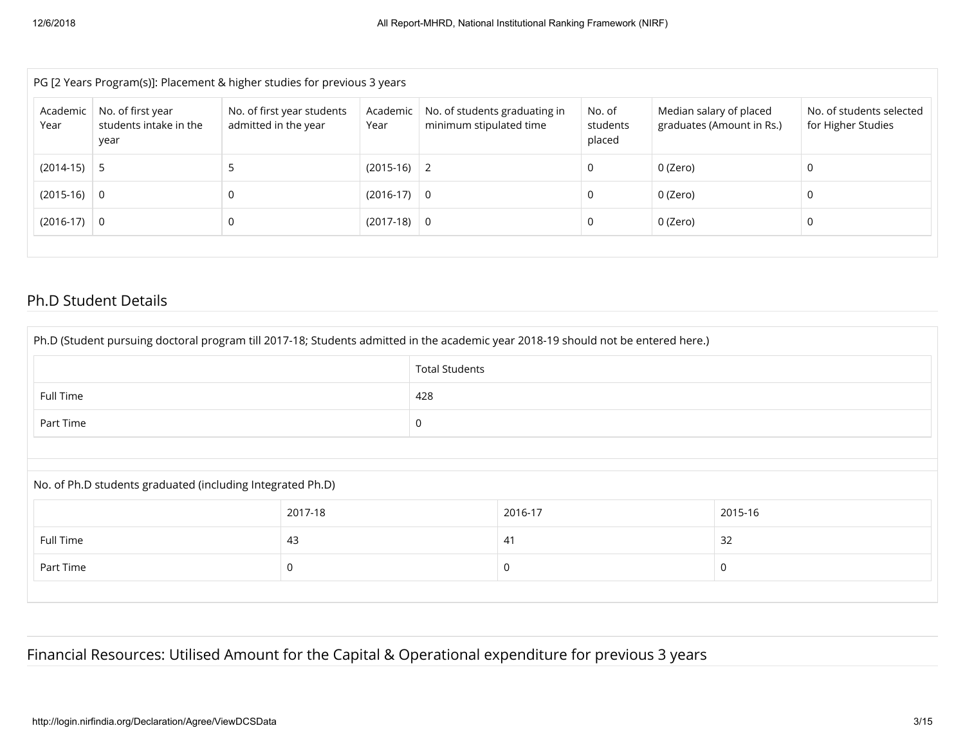| PG [2 Years Program(s)]: Placement & higher studies for previous 3 years |                                                     |                                                    |                  |                                                          |                              |                                                      |                                                |  |
|--------------------------------------------------------------------------|-----------------------------------------------------|----------------------------------------------------|------------------|----------------------------------------------------------|------------------------------|------------------------------------------------------|------------------------------------------------|--|
| Academic<br>Year                                                         | No. of first year<br>students intake in the<br>year | No. of first year students<br>admitted in the year | Academic<br>Year | No. of students graduating in<br>minimum stipulated time | No. of<br>students<br>placed | Median salary of placed<br>graduates (Amount in Rs.) | No. of students selected<br>for Higher Studies |  |
| $(2014-15)$ 5                                                            |                                                     |                                                    | $(2015-16)$ 2    |                                                          | 0                            | 0 (Zero)                                             |                                                |  |
| $(2015-16)$ 0                                                            |                                                     | 0                                                  | $(2016-17)$ 0    |                                                          | 0                            | 0 (Zero)                                             |                                                |  |
| $(2016-17)$ 0                                                            |                                                     | 0                                                  | $(2017-18)$ 0    |                                                          | 0                            | 0 (Zero)                                             |                                                |  |
|                                                                          |                                                     |                                                    |                  |                                                          |                              |                                                      |                                                |  |

#### Ph.D Student Details

| Ph.D (Student pursuing doctoral program till 2017-18; Students admitted in the academic year 2018-19 should not be entered here.) |             |   |         |         |  |  |
|-----------------------------------------------------------------------------------------------------------------------------------|-------------|---|---------|---------|--|--|
|                                                                                                                                   |             |   |         |         |  |  |
| 428<br>Full Time                                                                                                                  |             |   |         |         |  |  |
| Part Time                                                                                                                         |             | 0 |         |         |  |  |
|                                                                                                                                   |             |   |         |         |  |  |
| No. of Ph.D students graduated (including Integrated Ph.D)                                                                        |             |   |         |         |  |  |
|                                                                                                                                   | 2017-18     |   | 2016-17 | 2015-16 |  |  |
| Full Time                                                                                                                         | 43          |   | 41      | 32      |  |  |
| Part Time                                                                                                                         | 0<br>0<br>0 |   |         |         |  |  |
|                                                                                                                                   |             |   |         |         |  |  |

## Financial Resources: Utilised Amount for the Capital & Operational expenditure for previous 3 years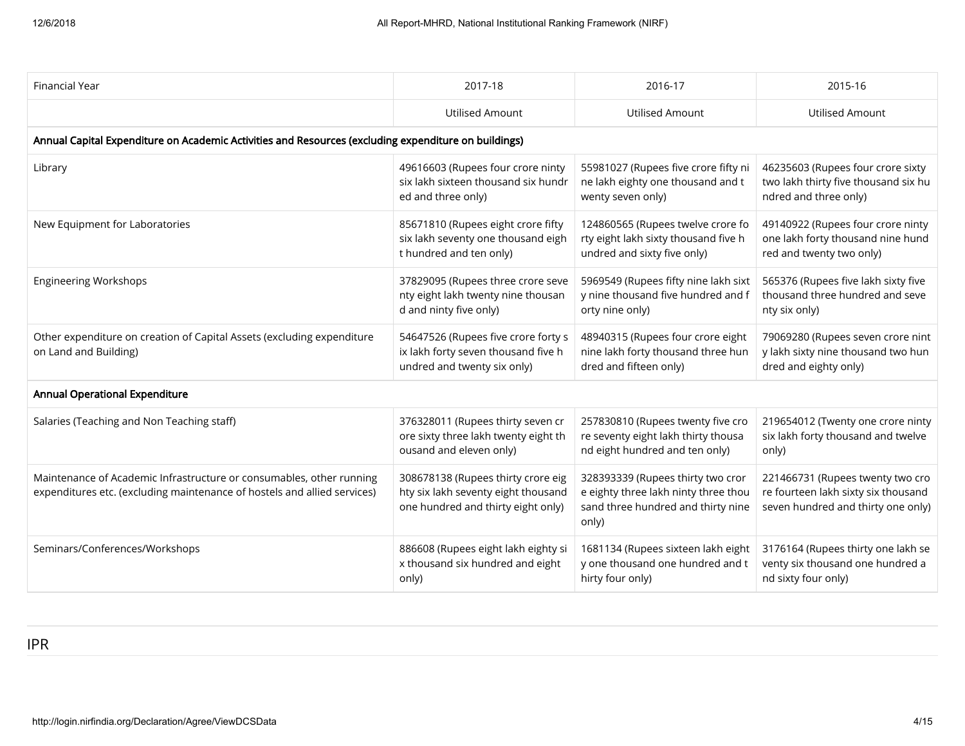| <b>Financial Year</b>                                                                                                                            | 2017-18                                                                                                         | 2016-17                                                                                                                  | 2015-16                                                                                                       |  |  |  |  |  |
|--------------------------------------------------------------------------------------------------------------------------------------------------|-----------------------------------------------------------------------------------------------------------------|--------------------------------------------------------------------------------------------------------------------------|---------------------------------------------------------------------------------------------------------------|--|--|--|--|--|
|                                                                                                                                                  | <b>Utilised Amount</b>                                                                                          | <b>Utilised Amount</b>                                                                                                   | <b>Utilised Amount</b>                                                                                        |  |  |  |  |  |
| Annual Capital Expenditure on Academic Activities and Resources (excluding expenditure on buildings)                                             |                                                                                                                 |                                                                                                                          |                                                                                                               |  |  |  |  |  |
| Library                                                                                                                                          | 49616603 (Rupees four crore ninty<br>six lakh sixteen thousand six hundr<br>ed and three only)                  | 55981027 (Rupees five crore fifty ni<br>ne lakh eighty one thousand and t<br>wenty seven only)                           | 46235603 (Rupees four crore sixty<br>two lakh thirty five thousand six hu<br>ndred and three only)            |  |  |  |  |  |
| New Equipment for Laboratories                                                                                                                   | 85671810 (Rupees eight crore fifty<br>six lakh seventy one thousand eigh<br>t hundred and ten only)             | 124860565 (Rupees twelve crore fo<br>rty eight lakh sixty thousand five h<br>undred and sixty five only)                 | 49140922 (Rupees four crore ninty<br>one lakh forty thousand nine hund<br>red and twenty two only)            |  |  |  |  |  |
| <b>Engineering Workshops</b>                                                                                                                     | 37829095 (Rupees three crore seve<br>nty eight lakh twenty nine thousan<br>d and ninty five only)               | 5969549 (Rupees fifty nine lakh sixt<br>y nine thousand five hundred and f<br>orty nine only)                            | 565376 (Rupees five lakh sixty five<br>thousand three hundred and seve<br>nty six only)                       |  |  |  |  |  |
| Other expenditure on creation of Capital Assets (excluding expenditure<br>on Land and Building)                                                  | 54647526 (Rupees five crore forty s<br>ix lakh forty seven thousand five h<br>undred and twenty six only)       | 48940315 (Rupees four crore eight<br>nine lakh forty thousand three hun<br>dred and fifteen only)                        | 79069280 (Rupees seven crore nint<br>y lakh sixty nine thousand two hun<br>dred and eighty only)              |  |  |  |  |  |
| Annual Operational Expenditure                                                                                                                   |                                                                                                                 |                                                                                                                          |                                                                                                               |  |  |  |  |  |
| Salaries (Teaching and Non Teaching staff)                                                                                                       | 376328011 (Rupees thirty seven cr<br>ore sixty three lakh twenty eight th<br>ousand and eleven only)            | 257830810 (Rupees twenty five cro<br>re seventy eight lakh thirty thousa<br>nd eight hundred and ten only)               | 219654012 (Twenty one crore ninty<br>six lakh forty thousand and twelve<br>only)                              |  |  |  |  |  |
| Maintenance of Academic Infrastructure or consumables, other running<br>expenditures etc. (excluding maintenance of hostels and allied services) | 308678138 (Rupees thirty crore eig<br>hty six lakh seventy eight thousand<br>one hundred and thirty eight only) | 328393339 (Rupees thirty two cror<br>e eighty three lakh ninty three thou<br>sand three hundred and thirty nine<br>only) | 221466731 (Rupees twenty two cro<br>re fourteen lakh sixty six thousand<br>seven hundred and thirty one only) |  |  |  |  |  |
| Seminars/Conferences/Workshops                                                                                                                   | 886608 (Rupees eight lakh eighty si<br>x thousand six hundred and eight<br>only)                                | 1681134 (Rupees sixteen lakh eight<br>y one thousand one hundred and t<br>hirty four only)                               | 3176164 (Rupees thirty one lakh se<br>venty six thousand one hundred a<br>nd sixty four only)                 |  |  |  |  |  |

IPR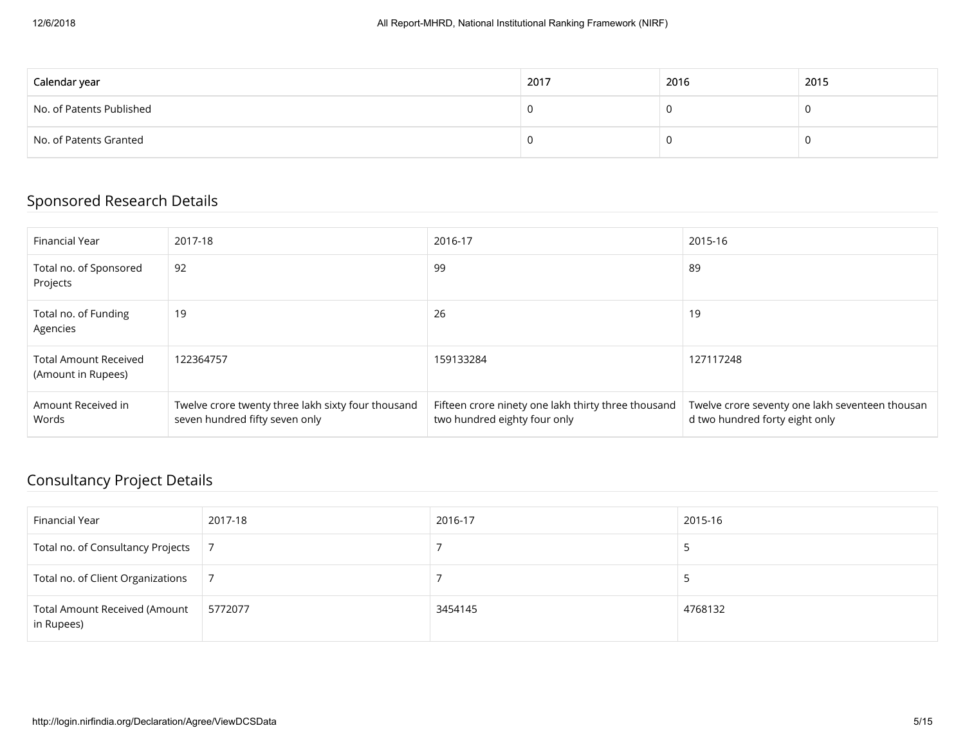| Calendar year            | 2017 | 2016 | 2015 |
|--------------------------|------|------|------|
| No. of Patents Published |      |      |      |
| No. of Patents Granted   |      |      |      |

#### Sponsored Research Details

| Financial Year                                     | 2017-18                                                                              | 2016-17                                                                             | 2015-16                                                                           |
|----------------------------------------------------|--------------------------------------------------------------------------------------|-------------------------------------------------------------------------------------|-----------------------------------------------------------------------------------|
| Total no. of Sponsored<br>Projects                 | 92                                                                                   | 99                                                                                  | 89                                                                                |
| Total no. of Funding<br>Agencies                   | 19                                                                                   | 26                                                                                  | 19                                                                                |
| <b>Total Amount Received</b><br>(Amount in Rupees) | 122364757                                                                            | 159133284                                                                           | 127117248                                                                         |
| Amount Received in<br>Words                        | Twelve crore twenty three lakh sixty four thousand<br>seven hundred fifty seven only | Fifteen crore ninety one lakh thirty three thousand<br>two hundred eighty four only | Twelve crore seventy one lakh seventeen thousan<br>d two hundred forty eight only |

#### Consultancy Project Details

| Financial Year                                     | 2017-18 | 2016-17 | 2015-16 |
|----------------------------------------------------|---------|---------|---------|
| Total no. of Consultancy Projects                  |         |         |         |
| Total no. of Client Organizations                  |         |         |         |
| <b>Total Amount Received (Amount</b><br>in Rupees) | 5772077 | 3454145 | 4768132 |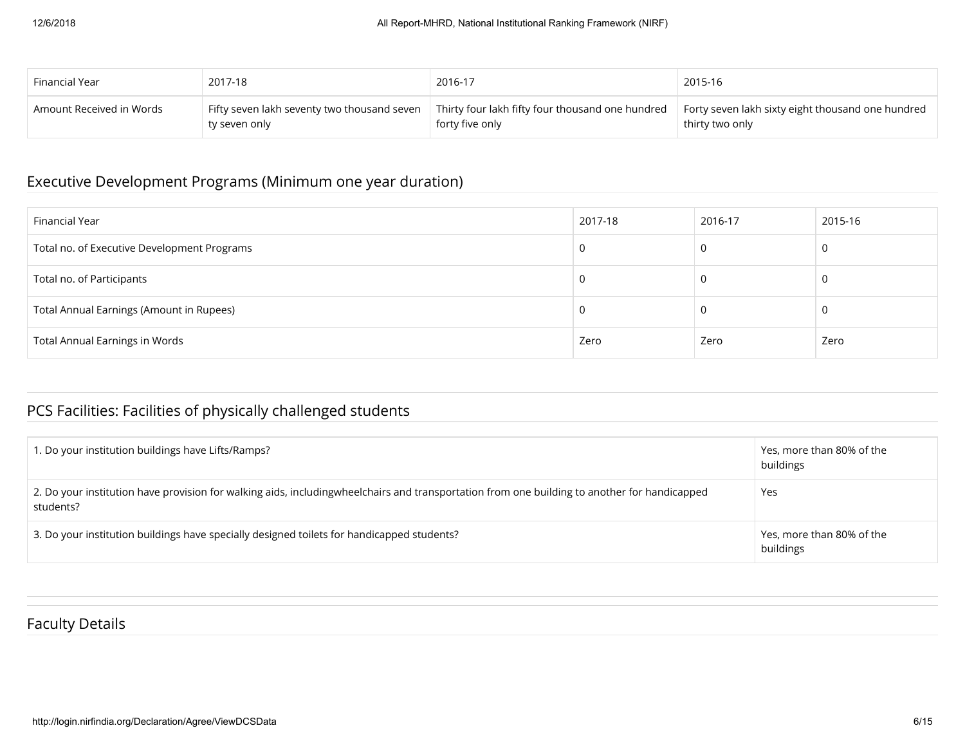| Financial Year             | 2017-18                                     | 2016-17                                                 | 2015-16                                           |
|----------------------------|---------------------------------------------|---------------------------------------------------------|---------------------------------------------------|
| ' Amount Received in Words | Fifty seven lakh seventy two thousand seven | $\mid$ Thirty four lakh fifty four thousand one hundred | Forty seven lakh sixty eight thousand one hundred |
|                            | ty seven only                               | forty five only                                         | thirty two only                                   |

## Executive Development Programs (Minimum one year duration)

| Financial Year                              | 2017-18 | 2016-17 | 2015-16 |
|---------------------------------------------|---------|---------|---------|
| Total no. of Executive Development Programs | -U      |         |         |
| Total no. of Participants                   |         |         |         |
| Total Annual Earnings (Amount in Rupees)    |         |         |         |
| <b>Total Annual Earnings in Words</b>       | Zero    | Zero    | Zero    |

## PCS Facilities: Facilities of physically challenged students

| 1. Do your institution buildings have Lifts/Ramps?                                                                                                        | Yes, more than 80% of the<br>buildings |
|-----------------------------------------------------------------------------------------------------------------------------------------------------------|----------------------------------------|
| 2. Do your institution have provision for walking aids, includingwheelchairs and transportation from one building to another for handicapped<br>students? | Yes                                    |
| 3. Do your institution buildings have specially designed toilets for handicapped students?                                                                | Yes, more than 80% of the<br>buildings |

#### Faculty Details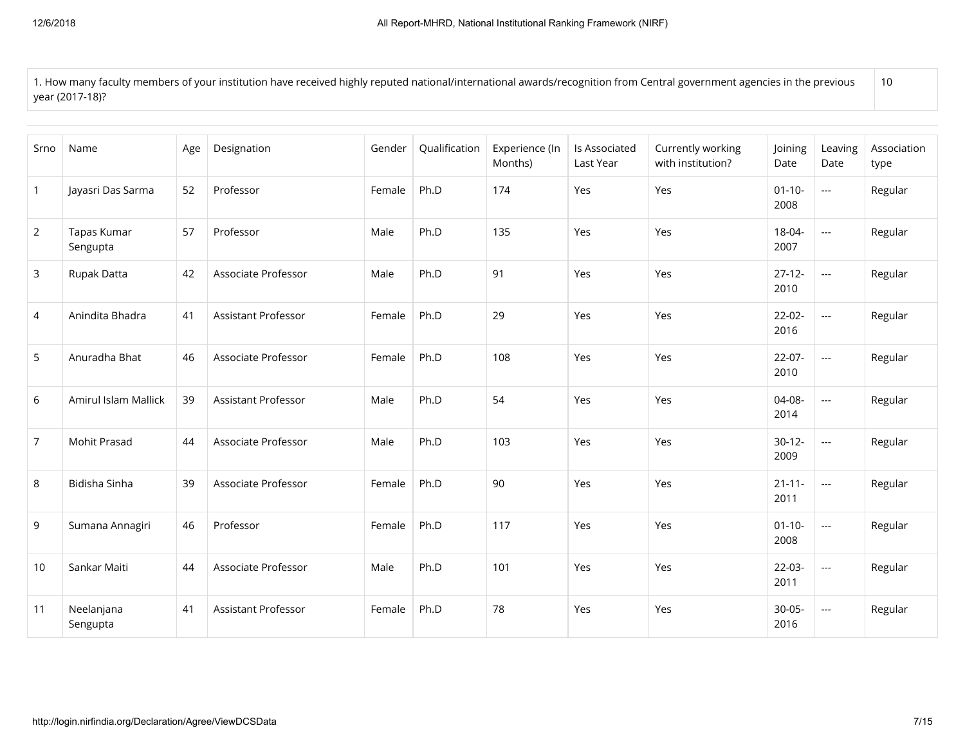1. How many faculty members of your institution have received highly reputed national/international awards/recognition from Central government agencies in the previous year (2017-18)? 10

| Srno           | Name                    | Age | Designation                | Gender | Qualification | Experience (In<br>Months) | Is Associated<br>Last Year | Currently working<br>with institution? | Joining<br>Date     | Leaving<br>Date | Association<br>type |
|----------------|-------------------------|-----|----------------------------|--------|---------------|---------------------------|----------------------------|----------------------------------------|---------------------|-----------------|---------------------|
| $\mathbf{1}$   | Jayasri Das Sarma       | 52  | Professor                  | Female | Ph.D          | 174                       | Yes                        | Yes                                    | $01 - 10 -$<br>2008 | $\overline{a}$  | Regular             |
| $\overline{2}$ | Tapas Kumar<br>Sengupta | 57  | Professor                  | Male   | Ph.D          | 135                       | Yes                        | Yes                                    | 18-04-<br>2007      | $\overline{a}$  | Regular             |
| $\mathsf{3}$   | Rupak Datta             | 42  | Associate Professor        | Male   | Ph.D          | 91                        | Yes                        | Yes                                    | $27 - 12 -$<br>2010 | $\overline{a}$  | Regular             |
| 4              | Anindita Bhadra         | 41  | Assistant Professor        | Female | Ph.D          | 29                        | Yes                        | Yes                                    | $22-02-$<br>2016    | $\overline{a}$  | Regular             |
| 5              | Anuradha Bhat           | 46  | Associate Professor        | Female | Ph.D          | 108                       | Yes                        | Yes                                    | $22 - 07 -$<br>2010 | $\overline{a}$  | Regular             |
| 6              | Amirul Islam Mallick    | 39  | <b>Assistant Professor</b> | Male   | Ph.D          | 54                        | Yes                        | Yes                                    | 04-08-<br>2014      | $\sim$ $\sim$   | Regular             |
| 7              | Mohit Prasad            | 44  | Associate Professor        | Male   | Ph.D          | 103                       | Yes                        | Yes                                    | $30-12-$<br>2009    | $\overline{a}$  | Regular             |
| 8              | Bidisha Sinha           | 39  | Associate Professor        | Female | Ph.D          | 90                        | Yes                        | Yes                                    | $21 - 11 -$<br>2011 | $\overline{a}$  | Regular             |
| 9              | Sumana Annagiri         | 46  | Professor                  | Female | Ph.D          | 117                       | Yes                        | Yes                                    | $01 - 10 -$<br>2008 | $\overline{a}$  | Regular             |
| 10             | Sankar Maiti            | 44  | Associate Professor        | Male   | Ph.D          | 101                       | Yes                        | Yes                                    | $22-03-$<br>2011    | $\overline{a}$  | Regular             |
| 11             | Neelanjana<br>Sengupta  | 41  | <b>Assistant Professor</b> | Female | Ph.D          | 78                        | Yes                        | Yes                                    | $30 - 05 -$<br>2016 | $\overline{a}$  | Regular             |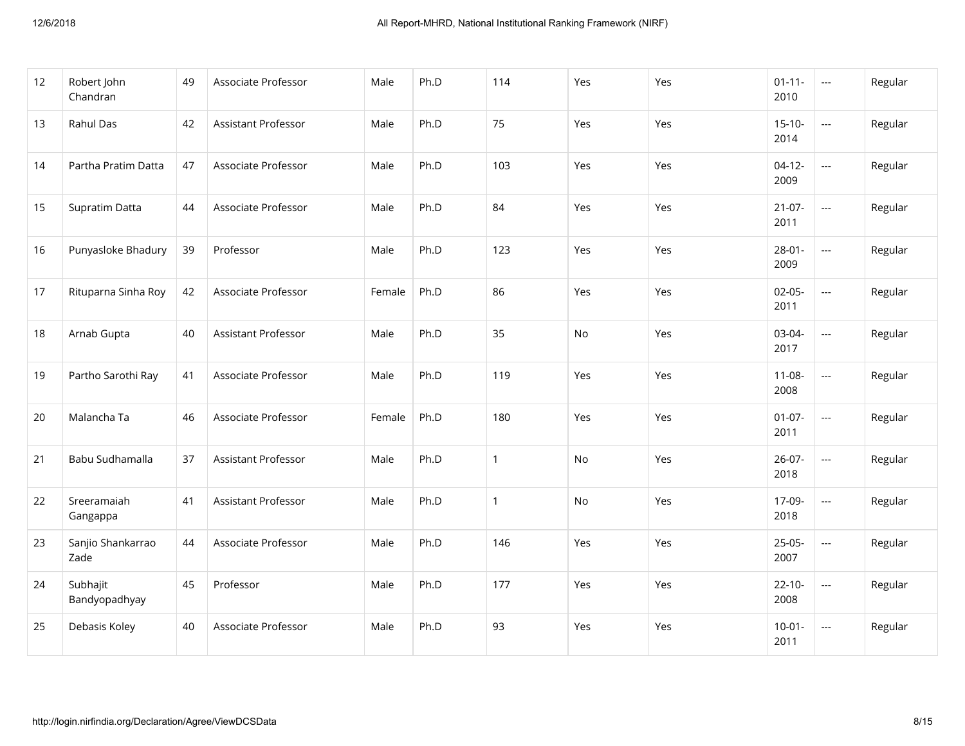| 12 | Robert John<br>Chandran   | 49 | Associate Professor | Male   | Ph.D | 114          | Yes | Yes | $01 - 11 -$<br>2010 | $\sim$ $\sim$               | Regular |
|----|---------------------------|----|---------------------|--------|------|--------------|-----|-----|---------------------|-----------------------------|---------|
| 13 | Rahul Das                 | 42 | Assistant Professor | Male   | Ph.D | 75           | Yes | Yes | $15 - 10 -$<br>2014 | $\mathbb{L} \mathbb{L}$     | Regular |
| 14 | Partha Pratim Datta       | 47 | Associate Professor | Male   | Ph.D | 103          | Yes | Yes | $04-12-$<br>2009    | $\overline{\phantom{a}}$    | Regular |
| 15 | Supratim Datta            | 44 | Associate Professor | Male   | Ph.D | 84           | Yes | Yes | $21-07-$<br>2011    | $\overline{a}$              | Regular |
| 16 | Punyasloke Bhadury        | 39 | Professor           | Male   | Ph.D | 123          | Yes | Yes | $28 - 01 -$<br>2009 | $\mathbb{L} \mathbb{L}$     | Regular |
| 17 | Rituparna Sinha Roy       | 42 | Associate Professor | Female | Ph.D | 86           | Yes | Yes | $02 - 05 -$<br>2011 | $\mathbb{L} \mathbb{L}$     | Regular |
| 18 | Arnab Gupta               | 40 | Assistant Professor | Male   | Ph.D | 35           | No  | Yes | 03-04-<br>2017      | $\frac{1}{2}$               | Regular |
| 19 | Partho Sarothi Ray        | 41 | Associate Professor | Male   | Ph.D | 119          | Yes | Yes | $11 - 08 -$<br>2008 | $\mathbb{Z} \to \mathbb{Z}$ | Regular |
| 20 | Malancha Ta               | 46 | Associate Professor | Female | Ph.D | 180          | Yes | Yes | $01-07-$<br>2011    | $\overline{a}$              | Regular |
| 21 | Babu Sudhamalla           | 37 | Assistant Professor | Male   | Ph.D | $\mathbf{1}$ | No  | Yes | $26 - 07 -$<br>2018 | $\overline{\phantom{a}}$    | Regular |
| 22 | Sreeramaiah<br>Gangappa   | 41 | Assistant Professor | Male   | Ph.D | $\mathbf{1}$ | No  | Yes | 17-09-<br>2018      | $\mathbb{Z} \to \mathbb{Z}$ | Regular |
| 23 | Sanjio Shankarrao<br>Zade | 44 | Associate Professor | Male   | Ph.D | 146          | Yes | Yes | $25-05-$<br>2007    | $\overline{\phantom{a}}$    | Regular |
| 24 | Subhajit<br>Bandyopadhyay | 45 | Professor           | Male   | Ph.D | 177          | Yes | Yes | $22 - 10 -$<br>2008 | $\overline{a}$              | Regular |
| 25 | Debasis Koley             | 40 | Associate Professor | Male   | Ph.D | 93           | Yes | Yes | $10-01 -$<br>2011   | $\scriptstyle \cdots$       | Regular |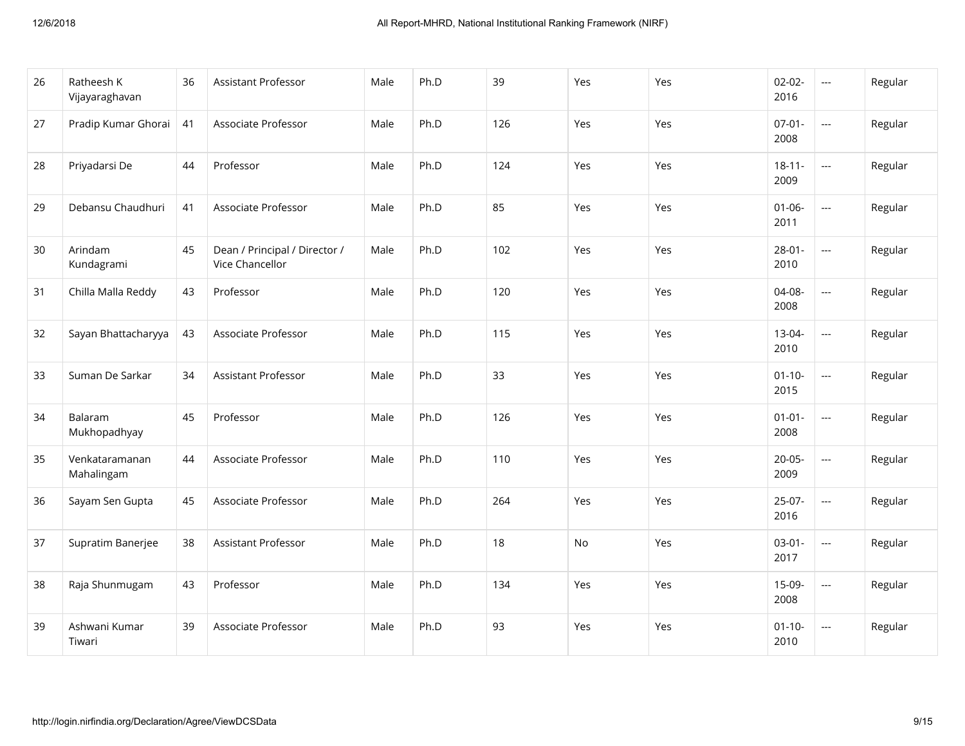| 26 | Ratheesh K<br>Vijayaraghavan | 36 | Assistant Professor                              | Male | Ph.D | 39  | Yes | Yes | $02 - 02 -$<br>2016 | $\overline{a}$           | Regular |
|----|------------------------------|----|--------------------------------------------------|------|------|-----|-----|-----|---------------------|--------------------------|---------|
| 27 | Pradip Kumar Ghorai          | 41 | Associate Professor                              | Male | Ph.D | 126 | Yes | Yes | $07 - 01 -$<br>2008 | $\overline{a}$           | Regular |
| 28 | Priyadarsi De                | 44 | Professor                                        | Male | Ph.D | 124 | Yes | Yes | $18 - 11 -$<br>2009 | $\overline{a}$           | Regular |
| 29 | Debansu Chaudhuri            | 41 | Associate Professor                              | Male | Ph.D | 85  | Yes | Yes | $01 - 06 -$<br>2011 | $\overline{a}$           | Regular |
| 30 | Arindam<br>Kundagrami        | 45 | Dean / Principal / Director /<br>Vice Chancellor | Male | Ph.D | 102 | Yes | Yes | $28 - 01 -$<br>2010 | $\overline{a}$           | Regular |
| 31 | Chilla Malla Reddy           | 43 | Professor                                        | Male | Ph.D | 120 | Yes | Yes | 04-08-<br>2008      | $\overline{a}$           | Regular |
| 32 | Sayan Bhattacharyya          | 43 | Associate Professor                              | Male | Ph.D | 115 | Yes | Yes | $13 - 04 -$<br>2010 | $\overline{a}$           | Regular |
| 33 | Suman De Sarkar              | 34 | <b>Assistant Professor</b>                       | Male | Ph.D | 33  | Yes | Yes | $01 - 10 -$<br>2015 | $\overline{\phantom{a}}$ | Regular |
| 34 | Balaram<br>Mukhopadhyay      | 45 | Professor                                        | Male | Ph.D | 126 | Yes | Yes | $01 - 01 -$<br>2008 | $\overline{a}$           | Regular |
| 35 | Venkataramanan<br>Mahalingam | 44 | Associate Professor                              | Male | Ph.D | 110 | Yes | Yes | $20 - 05 -$<br>2009 | $\overline{a}$           | Regular |
| 36 | Sayam Sen Gupta              | 45 | Associate Professor                              | Male | Ph.D | 264 | Yes | Yes | $25-07-$<br>2016    | $\mathbb{L} \mathbb{L}$  | Regular |
| 37 | Supratim Banerjee            | 38 | Assistant Professor                              | Male | Ph.D | 18  | No  | Yes | $03-01-$<br>2017    | $\overline{a}$           | Regular |
| 38 | Raja Shunmugam               | 43 | Professor                                        | Male | Ph.D | 134 | Yes | Yes | $15-09-$<br>2008    | $\overline{\phantom{a}}$ | Regular |
| 39 | Ashwani Kumar<br>Tiwari      | 39 | Associate Professor                              | Male | Ph.D | 93  | Yes | Yes | $01 - 10 -$<br>2010 | $\sim$ $\sim$            | Regular |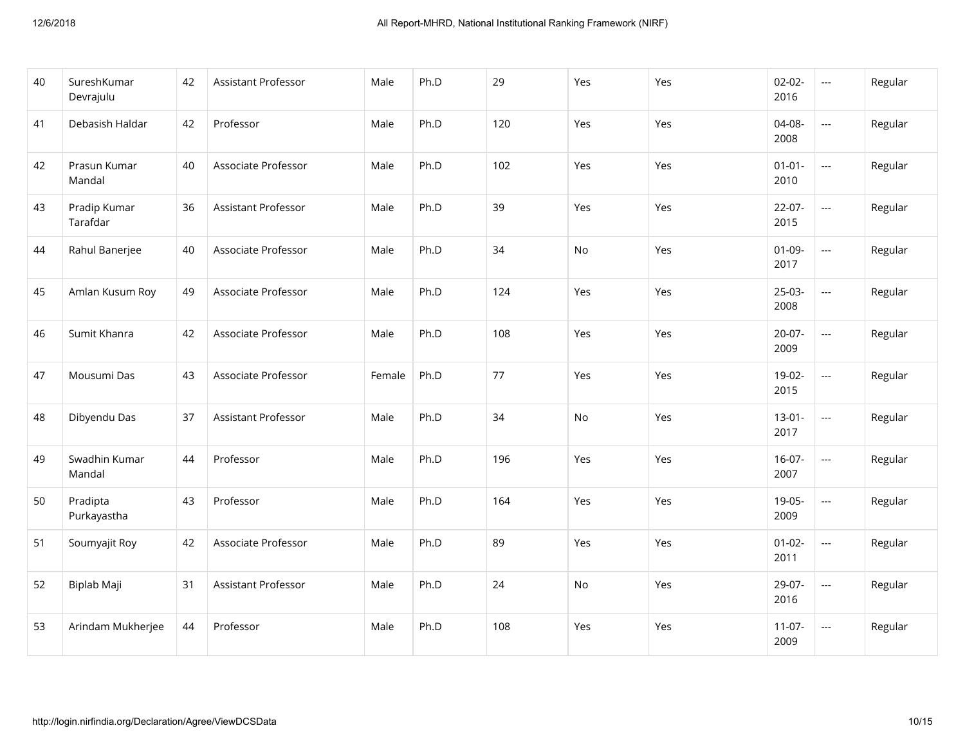| 40 | SureshKumar<br>Devrajulu | 42 | Assistant Professor | Male   | Ph.D | 29  | Yes | Yes | $02 - 02 -$<br>2016 | $\overline{a}$           | Regular |
|----|--------------------------|----|---------------------|--------|------|-----|-----|-----|---------------------|--------------------------|---------|
| 41 | Debasish Haldar          | 42 | Professor           | Male   | Ph.D | 120 | Yes | Yes | 04-08-<br>2008      | $\mathbb{L} \mathbb{L}$  | Regular |
| 42 | Prasun Kumar<br>Mandal   | 40 | Associate Professor | Male   | Ph.D | 102 | Yes | Yes | $01 - 01 -$<br>2010 | $\overline{a}$           | Regular |
| 43 | Pradip Kumar<br>Tarafdar | 36 | Assistant Professor | Male   | Ph.D | 39  | Yes | Yes | $22-07-$<br>2015    | $\overline{a}$           | Regular |
| 44 | Rahul Banerjee           | 40 | Associate Professor | Male   | Ph.D | 34  | No  | Yes | $01 - 09 -$<br>2017 | $\overline{a}$           | Regular |
| 45 | Amlan Kusum Roy          | 49 | Associate Professor | Male   | Ph.D | 124 | Yes | Yes | $25-03-$<br>2008    | $\overline{a}$           | Regular |
| 46 | Sumit Khanra             | 42 | Associate Professor | Male   | Ph.D | 108 | Yes | Yes | $20-07-$<br>2009    | $\overline{\phantom{a}}$ | Regular |
| 47 | Mousumi Das              | 43 | Associate Professor | Female | Ph.D | 77  | Yes | Yes | 19-02-<br>2015      | $\mathbb{L} \mathbb{L}$  | Regular |
| 48 | Dibyendu Das             | 37 | Assistant Professor | Male   | Ph.D | 34  | No  | Yes | $13-01-$<br>2017    | $\overline{\phantom{a}}$ | Regular |
| 49 | Swadhin Kumar<br>Mandal  | 44 | Professor           | Male   | Ph.D | 196 | Yes | Yes | $16-07-$<br>2007    | $\overline{a}$           | Regular |
| 50 | Pradipta<br>Purkayastha  | 43 | Professor           | Male   | Ph.D | 164 | Yes | Yes | $19-05-$<br>2009    | $\overline{a}$           | Regular |
| 51 | Soumyajit Roy            | 42 | Associate Professor | Male   | Ph.D | 89  | Yes | Yes | $01 - 02 -$<br>2011 | $\overline{\phantom{a}}$ | Regular |
| 52 | Biplab Maji              | 31 | Assistant Professor | Male   | Ph.D | 24  | No  | Yes | 29-07-<br>2016      | $\overline{a}$           | Regular |
| 53 | Arindam Mukherjee        | 44 | Professor           | Male   | Ph.D | 108 | Yes | Yes | $11-07-$<br>2009    | $\scriptstyle\cdots$     | Regular |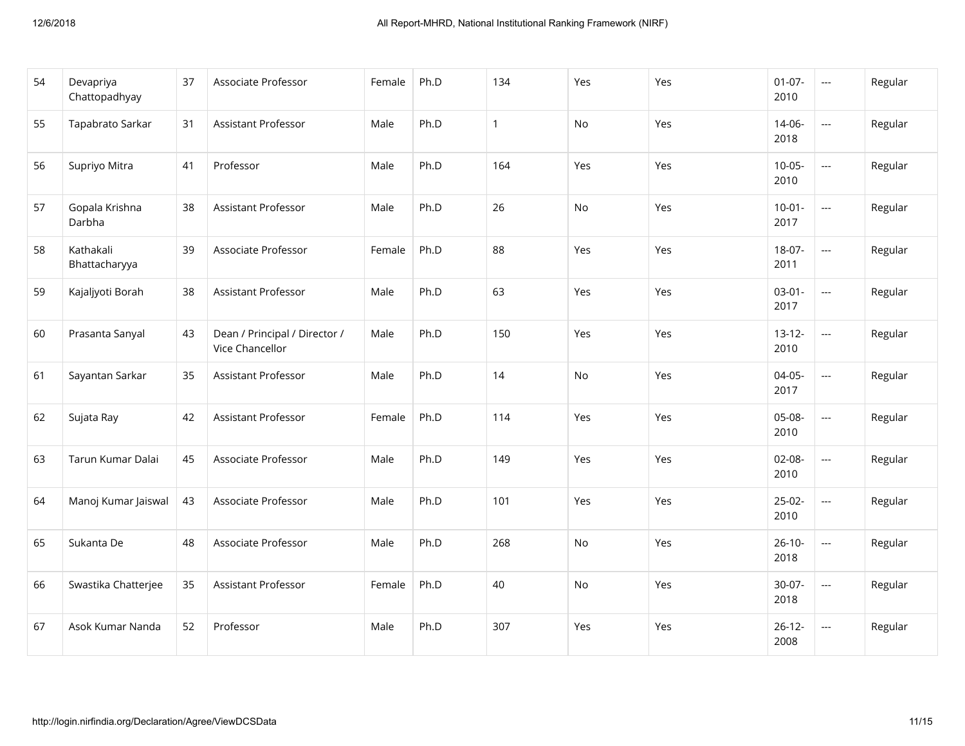| 54 | Devapriya<br>Chattopadhyay | 37 | Associate Professor                              | Female | Ph.D | 134          | Yes | Yes | $01 - 07 -$<br>2010 | $\overline{a}$           | Regular |
|----|----------------------------|----|--------------------------------------------------|--------|------|--------------|-----|-----|---------------------|--------------------------|---------|
| 55 | Tapabrato Sarkar           | 31 | Assistant Professor                              | Male   | Ph.D | $\mathbf{1}$ | No  | Yes | 14-06-<br>2018      |                          | Regular |
| 56 | Supriyo Mitra              | 41 | Professor                                        | Male   | Ph.D | 164          | Yes | Yes | $10-05-$<br>2010    | $\overline{a}$           | Regular |
| 57 | Gopala Krishna<br>Darbha   | 38 | <b>Assistant Professor</b>                       | Male   | Ph.D | 26           | No  | Yes | $10-01-$<br>2017    | ---                      | Regular |
| 58 | Kathakali<br>Bhattacharyya | 39 | Associate Professor                              | Female | Ph.D | 88           | Yes | Yes | $18-07-$<br>2011    | $\mathbb{H} \mathbb{H}$  | Regular |
| 59 | Kajaljyoti Borah           | 38 | Assistant Professor                              | Male   | Ph.D | 63           | Yes | Yes | $03-01-$<br>2017    | $\overline{\phantom{a}}$ | Regular |
| 60 | Prasanta Sanyal            | 43 | Dean / Principal / Director /<br>Vice Chancellor | Male   | Ph.D | 150          | Yes | Yes | $13 - 12 -$<br>2010 | ---                      | Regular |
| 61 | Sayantan Sarkar            | 35 | <b>Assistant Professor</b>                       | Male   | Ph.D | 14           | No  | Yes | $04-05-$<br>2017    | ---                      | Regular |
| 62 | Sujata Ray                 | 42 | Assistant Professor                              | Female | Ph.D | 114          | Yes | Yes | 05-08-<br>2010      | $\overline{a}$           | Regular |
| 63 | Tarun Kumar Dalai          | 45 | Associate Professor                              | Male   | Ph.D | 149          | Yes | Yes | $02 - 08 -$<br>2010 |                          | Regular |
| 64 | Manoj Kumar Jaiswal        | 43 | Associate Professor                              | Male   | Ph.D | 101          | Yes | Yes | $25-02-$<br>2010    | ---                      | Regular |
| 65 | Sukanta De                 | 48 | Associate Professor                              | Male   | Ph.D | 268          | No  | Yes | $26 - 10 -$<br>2018 | ---                      | Regular |
| 66 | Swastika Chatterjee        | 35 | Assistant Professor                              | Female | Ph.D | 40           | No  | Yes | $30-07-$<br>2018    | $\overline{a}$           | Regular |
| 67 | Asok Kumar Nanda           | 52 | Professor                                        | Male   | Ph.D | 307          | Yes | Yes | $26 - 12 -$<br>2008 | ---                      | Regular |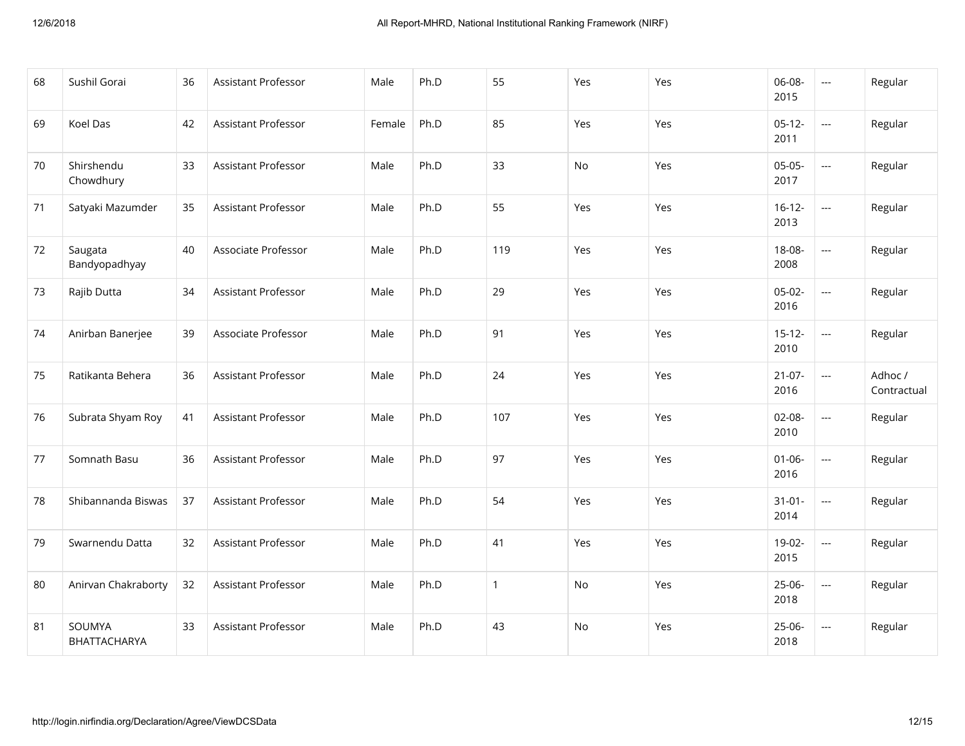| 68 | Sushil Gorai             | 36 | Assistant Professor        | Male   | Ph.D | 55           | Yes       | Yes | 06-08-<br>2015      | $\overline{a}$           | Regular                |
|----|--------------------------|----|----------------------------|--------|------|--------------|-----------|-----|---------------------|--------------------------|------------------------|
| 69 | Koel Das                 | 42 | Assistant Professor        | Female | Ph.D | 85           | Yes       | Yes | $05-12-$<br>2011    | $\overline{\phantom{a}}$ | Regular                |
| 70 | Shirshendu<br>Chowdhury  | 33 | <b>Assistant Professor</b> | Male   | Ph.D | 33           | No        | Yes | $05-05-$<br>2017    | $\overline{a}$           | Regular                |
| 71 | Satyaki Mazumder         | 35 | <b>Assistant Professor</b> | Male   | Ph.D | 55           | Yes       | Yes | $16 - 12 -$<br>2013 | ---                      | Regular                |
| 72 | Saugata<br>Bandyopadhyay | 40 | Associate Professor        | Male   | Ph.D | 119          | Yes       | Yes | 18-08-<br>2008      | ---                      | Regular                |
| 73 | Rajib Dutta              | 34 | <b>Assistant Professor</b> | Male   | Ph.D | 29           | Yes       | Yes | $05-02-$<br>2016    | $\overline{\phantom{a}}$ | Regular                |
| 74 | Anirban Banerjee         | 39 | Associate Professor        | Male   | Ph.D | 91           | Yes       | Yes | $15 - 12 -$<br>2010 | ---                      | Regular                |
| 75 | Ratikanta Behera         | 36 | Assistant Professor        | Male   | Ph.D | 24           | Yes       | Yes | $21-07-$<br>2016    | $\overline{a}$           | Adhoc /<br>Contractual |
| 76 | Subrata Shyam Roy        | 41 | <b>Assistant Professor</b> | Male   | Ph.D | 107          | Yes       | Yes | $02 - 08 -$<br>2010 | $\overline{a}$           | Regular                |
| 77 | Somnath Basu             | 36 | <b>Assistant Professor</b> | Male   | Ph.D | 97           | Yes       | Yes | $01 - 06 -$<br>2016 | ---                      | Regular                |
| 78 | Shibannanda Biswas       | 37 | <b>Assistant Professor</b> | Male   | Ph.D | 54           | Yes       | Yes | $31 - 01 -$<br>2014 | ---                      | Regular                |
| 79 | Swarnendu Datta          | 32 | <b>Assistant Professor</b> | Male   | Ph.D | 41           | Yes       | Yes | 19-02-<br>2015      | $\overline{a}$           | Regular                |
| 80 | Anirvan Chakraborty      | 32 | Assistant Professor        | Male   | Ph.D | $\mathbf{1}$ | No        | Yes | $25-06-$<br>2018    | ---                      | Regular                |
| 81 | SOUMYA<br>BHATTACHARYA   | 33 | Assistant Professor        | Male   | Ph.D | 43           | <b>No</b> | Yes | $25-06-$<br>2018    | ---                      | Regular                |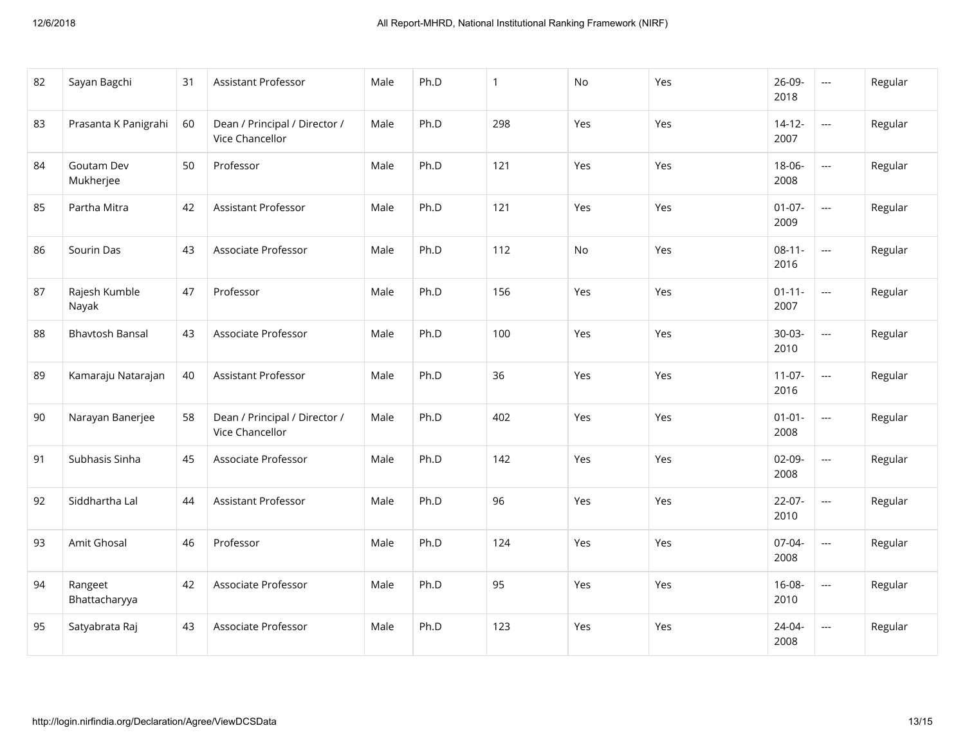| 82 | Sayan Bagchi             | 31 | Assistant Professor                              | Male | Ph.D | $\mathbf{1}$ | No  | Yes | 26-09-<br>2018      | $\overline{a}$           | Regular |
|----|--------------------------|----|--------------------------------------------------|------|------|--------------|-----|-----|---------------------|--------------------------|---------|
| 83 | Prasanta K Panigrahi     | 60 | Dean / Principal / Director /<br>Vice Chancellor | Male | Ph.D | 298          | Yes | Yes | $14 - 12 -$<br>2007 | $\overline{\phantom{a}}$ | Regular |
| 84 | Goutam Dev<br>Mukherjee  | 50 | Professor                                        | Male | Ph.D | 121          | Yes | Yes | 18-06-<br>2008      | $\overline{\phantom{a}}$ | Regular |
| 85 | Partha Mitra             | 42 | Assistant Professor                              | Male | Ph.D | 121          | Yes | Yes | $01 - 07 -$<br>2009 | $\overline{a}$           | Regular |
| 86 | Sourin Das               | 43 | Associate Professor                              | Male | Ph.D | 112          | No  | Yes | $08 - 11 -$<br>2016 | ---                      | Regular |
| 87 | Rajesh Kumble<br>Nayak   | 47 | Professor                                        | Male | Ph.D | 156          | Yes | Yes | $01 - 11 -$<br>2007 | $\mathbb{H} \mathbb{H}$  | Regular |
| 88 | <b>Bhavtosh Bansal</b>   | 43 | Associate Professor                              | Male | Ph.D | 100          | Yes | Yes | $30 - 03 -$<br>2010 | $\overline{\phantom{a}}$ | Regular |
| 89 | Kamaraju Natarajan       | 40 | <b>Assistant Professor</b>                       | Male | Ph.D | 36           | Yes | Yes | $11-07-$<br>2016    | ---                      | Regular |
| 90 | Narayan Banerjee         | 58 | Dean / Principal / Director /<br>Vice Chancellor | Male | Ph.D | 402          | Yes | Yes | $01 - 01 -$<br>2008 | $\overline{\phantom{a}}$ | Regular |
| 91 | Subhasis Sinha           | 45 | Associate Professor                              | Male | Ph.D | 142          | Yes | Yes | $02-09-$<br>2008    | ---                      | Regular |
| 92 | Siddhartha Lal           | 44 | <b>Assistant Professor</b>                       | Male | Ph.D | 96           | Yes | Yes | $22 - 07 -$<br>2010 | $\overline{a}$           | Regular |
| 93 | Amit Ghosal              | 46 | Professor                                        | Male | Ph.D | 124          | Yes | Yes | 07-04-<br>2008      |                          | Regular |
| 94 | Rangeet<br>Bhattacharyya | 42 | Associate Professor                              | Male | Ph.D | 95           | Yes | Yes | $16 - 08 -$<br>2010 | ---                      | Regular |
| 95 | Satyabrata Raj           | 43 | Associate Professor                              | Male | Ph.D | 123          | Yes | Yes | $24 - 04 -$<br>2008 | $\overline{a}$           | Regular |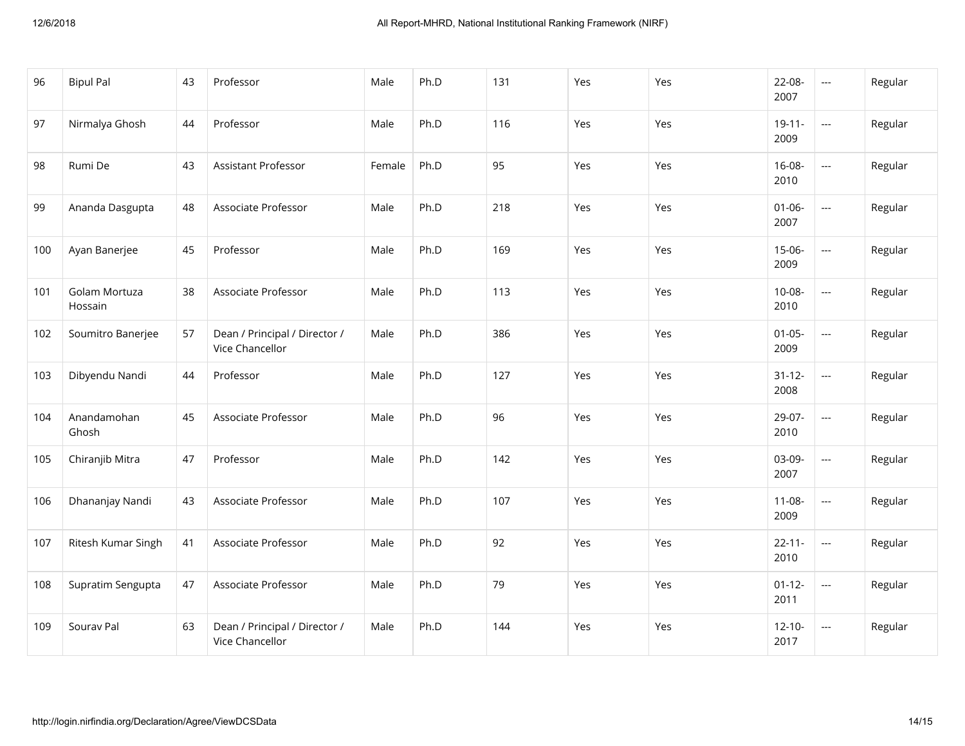| 96  | <b>Bipul Pal</b>         | 43 | Professor                                        | Male   | Ph.D | 131 | Yes | Yes | 22-08-<br>2007      | $\overline{\phantom{a}}$           | Regular |
|-----|--------------------------|----|--------------------------------------------------|--------|------|-----|-----|-----|---------------------|------------------------------------|---------|
| 97  | Nirmalya Ghosh           | 44 | Professor                                        | Male   | Ph.D | 116 | Yes | Yes | $19 - 11 -$<br>2009 | $\mathbb{L} \mathbb{L}$            | Regular |
| 98  | Rumi De                  | 43 | Assistant Professor                              | Female | Ph.D | 95  | Yes | Yes | $16 - 08 -$<br>2010 | $\overline{\phantom{a}}$           | Regular |
| 99  | Ananda Dasgupta          | 48 | Associate Professor                              | Male   | Ph.D | 218 | Yes | Yes | $01 - 06 -$<br>2007 | $\overline{a}$                     | Regular |
| 100 | Ayan Banerjee            | 45 | Professor                                        | Male   | Ph.D | 169 | Yes | Yes | $15 - 06 -$<br>2009 | $\mathbb{L} \mathbb{L} \mathbb{L}$ | Regular |
| 101 | Golam Mortuza<br>Hossain | 38 | Associate Professor                              | Male   | Ph.D | 113 | Yes | Yes | $10 - 08 -$<br>2010 | $\overline{\phantom{a}}$           | Regular |
| 102 | Soumitro Banerjee        | 57 | Dean / Principal / Director /<br>Vice Chancellor | Male   | Ph.D | 386 | Yes | Yes | $01 - 05 -$<br>2009 | $\mathbb{L} \mathbb{L}$            | Regular |
| 103 | Dibyendu Nandi           | 44 | Professor                                        | Male   | Ph.D | 127 | Yes | Yes | $31 - 12 -$<br>2008 | $\overline{\phantom{a}}$           | Regular |
| 104 | Anandamohan<br>Ghosh     | 45 | Associate Professor                              | Male   | Ph.D | 96  | Yes | Yes | 29-07-<br>2010      | $\mathbb{L} \mathbb{L} \mathbb{L}$ | Regular |
| 105 | Chiranjib Mitra          | 47 | Professor                                        | Male   | Ph.D | 142 | Yes | Yes | 03-09-<br>2007      | $\overline{\phantom{a}}$           | Regular |
| 106 | Dhananjay Nandi          | 43 | Associate Professor                              | Male   | Ph.D | 107 | Yes | Yes | $11 - 08 -$<br>2009 | $\mathbb{Z} \to \mathbb{Z}$        | Regular |
| 107 | Ritesh Kumar Singh       | 41 | Associate Professor                              | Male   | Ph.D | 92  | Yes | Yes | $22 - 11 -$<br>2010 | $\mathbb{L} \mathbb{L}$            | Regular |
| 108 | Supratim Sengupta        | 47 | Associate Professor                              | Male   | Ph.D | 79  | Yes | Yes | $01 - 12 -$<br>2011 | $\sim$ $\sim$                      | Regular |
| 109 | Sourav Pal               | 63 | Dean / Principal / Director /<br>Vice Chancellor | Male   | Ph.D | 144 | Yes | Yes | $12 - 10 -$<br>2017 | $\scriptstyle \cdots$              | Regular |